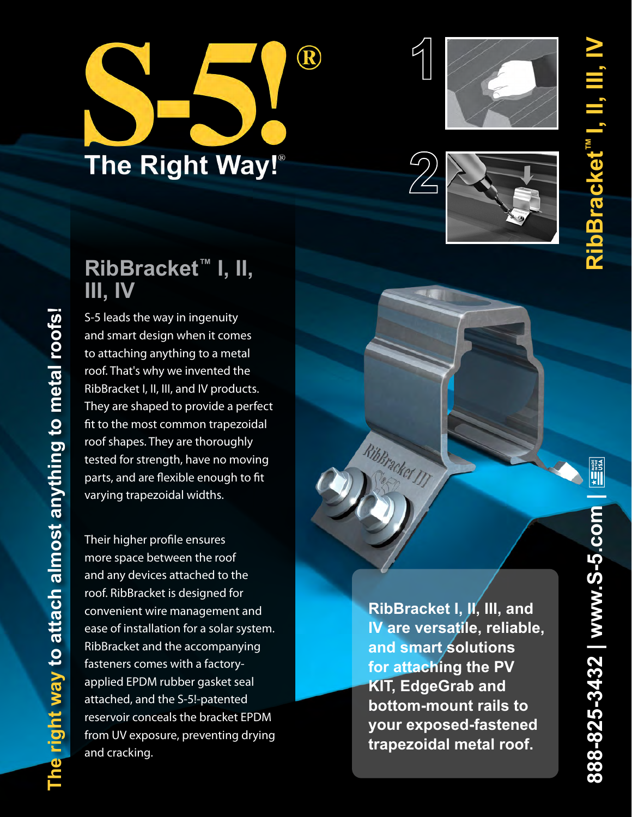# $\bigcirc\hspace{-0.3cm}\bigcirc$ The Right Way!®





### **RibBracket ™ I, II, III, IV**

S-5 leads the way in ingenuity and smart design when it comes to attaching anything to a metal roof. That's why we invented the RibBracket I, II, III, and IV products. They are shaped to provide a perfect fit to the most common trapezoidal roof shapes. They are thoroughly tested for strength, have no moving parts, and are flexible enough to fit varying trapezoidal widths.

Their higher profile ensures more space between the roof and any devices attached to the roof. RibBracket is designed for convenient wire management and ease of installation for a solar system. RibBracket and the accompanying fasteners comes with a factoryapplied EPDM rubber gasket seal attached, and the S-5!-patented reservoir conceals the bracket EPDM from UV exposure, preventing drying and cracking.

**The right way to attach almost anything to metal roofs!** 

The right way to attach almost anything to metal roofs!

**RibBracket I, II, III, and IV are versatile, reliable, and smart solutions for attaching the PV KIT, EdgeGrab and bottom-mount rails to your exposed-fastened the process of the Contract of the Contract of the Contract of the Contract of the Contract of the Contract of the Contract of the Contract of the Contract of the Contract of the Contract of the Contract of the Contract o**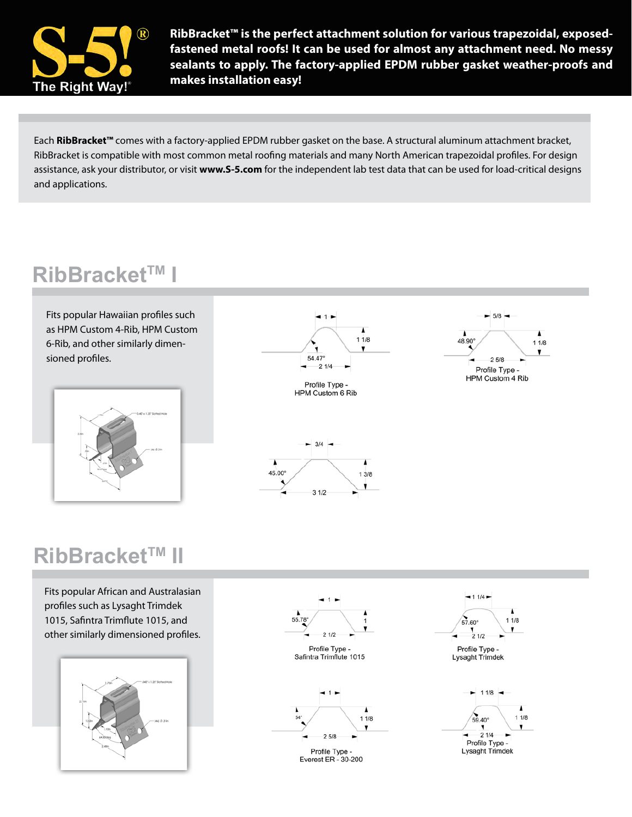

**RibBracket™ is the perfect attachment solution for various trapezoidal, exposedfastened metal roofs! It can be used for almost any attachment need. No messy sealants to apply. The factory-applied EPDM rubber gasket weather-proofs and makes installation easy!**

Each **RibBracket™** comes with a factory-applied EPDM rubber gasket on the base. A structural aluminum attachment bracket, RibBracket is compatible with most common metal roofing materials and many North American trapezoidal profiles. For design assistance, ask your distributor, or visit **www.S-5.com** for the independent lab test data that can be used for load-critical designs and applications.

#### **RibBracket™ I**

Fits popular Hawaiian profiles such as HPM Custom 4-Rib, HPM Custom 6-Rib, and other similarly dimensioned profiles.





Profile Type -HPM Custom 6 Rib

 $\overline{\phantom{a}}$ 

 $13/8$ 





#### **RibBracket™ II**

Fits popular African and Australasian profiles such as Lysaght Trimdek 1015, Safintra Trimflute 1015, and other similarly dimensioned profiles.







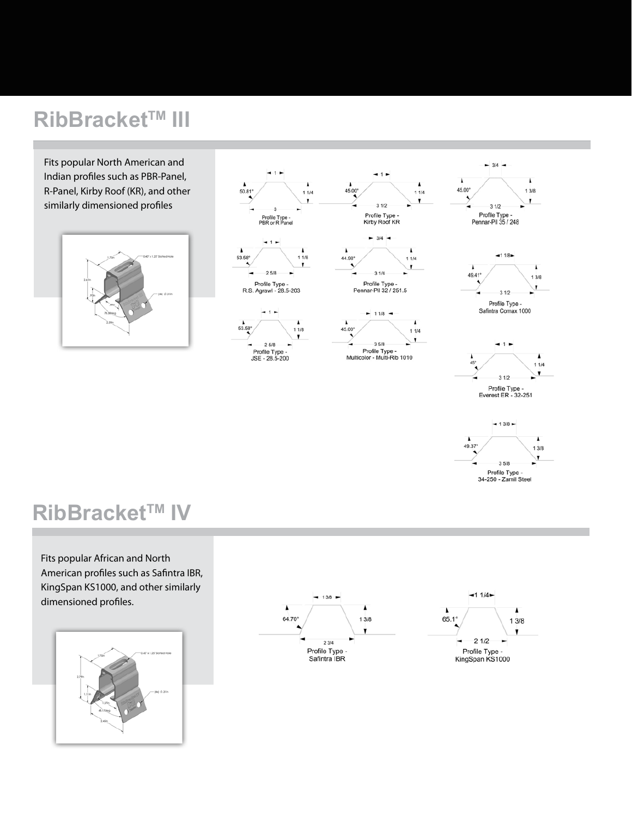## **RibBracket™ III**

Fits popular North American and Indian profiles such as PBR-Panel, R-Panel, Kirby Roof (KR), and other similarly dimensioned profiles







 $-3/4 -$ 





#### **RibBracket™ IV**

Fits popular African and North American profiles such as Safintra IBR, KingSpan KS1000, and other similarly dimensioned profiles.